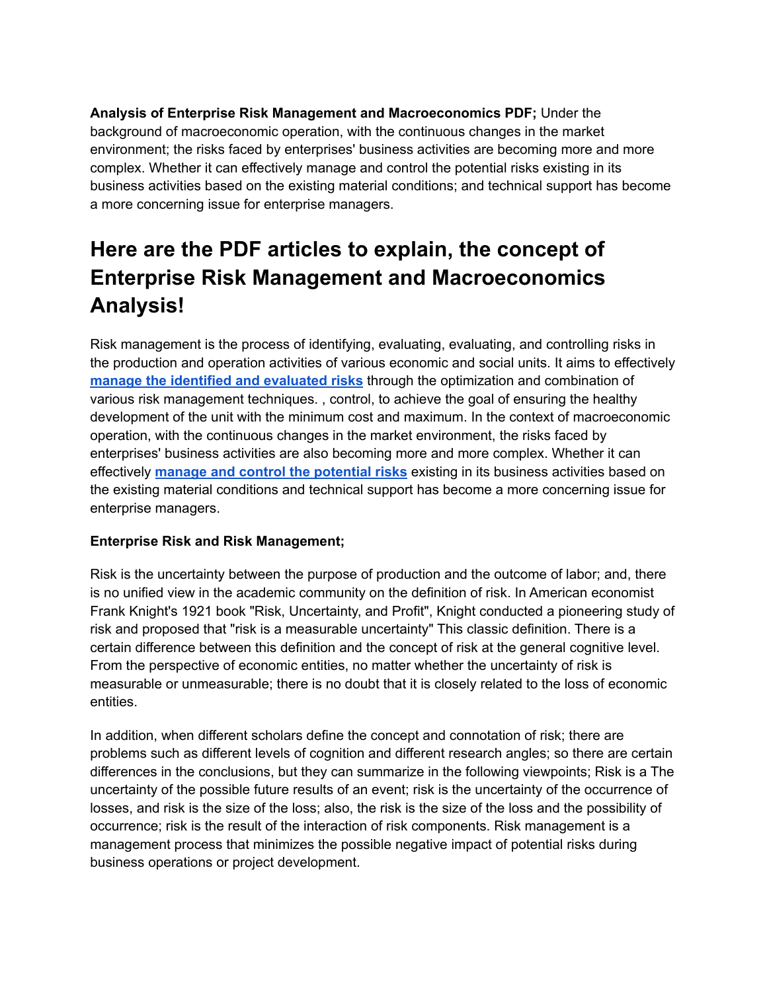**Analysis of Enterprise Risk Management and Macroeconomics PDF;** Under the background of macroeconomic operation, with the continuous changes in the market environment; the risks faced by enterprises' business activities are becoming more and more complex. Whether it can effectively manage and control the potential risks existing in its business activities based on the existing material conditions; and technical support has become a more concerning issue for enterprise managers.

# **Here are the PDF articles to explain, the concept of Enterprise Risk Management and Macroeconomics Analysis!**

Risk management is the process of identifying, evaluating, evaluating, and controlling risks in the production and operation activities of various economic and social units. It aims to effectively **manage the identified and [evaluated](https://www.ilearnlot.com/what-is-risk-management/896/) risks** through the optimization and combination of various risk management techniques. , control, to achieve the goal of ensuring the healthy development of the unit with the minimum cost and maximum. In the context of macroeconomic operation, with the continuous changes in the market environment, the risks faced by enterprises' business activities are also becoming more and more complex. Whether it can effectively **manage and control the [potential](https://www.ilearnlot.com/risk-management-model/901/) risks** existing in its business activities based on the existing material conditions and technical support has become a more concerning issue for enterprise managers.

# **Enterprise Risk and Risk Management;**

Risk is the uncertainty between the purpose of production and the outcome of labor; and, there is no unified view in the academic community on the definition of risk. In American economist Frank Knight's 1921 book "Risk, Uncertainty, and Profit", Knight conducted a pioneering study of risk and proposed that "risk is a measurable uncertainty" This classic definition. There is a certain difference between this definition and the concept of risk at the general cognitive level. From the perspective of economic entities, no matter whether the uncertainty of risk is measurable or unmeasurable; there is no doubt that it is closely related to the loss of economic entities.

In addition, when different scholars define the concept and connotation of risk; there are problems such as different levels of cognition and different research angles; so there are certain differences in the conclusions, but they can summarize in the following viewpoints; Risk is a The uncertainty of the possible future results of an event; risk is the uncertainty of the occurrence of losses, and risk is the size of the loss; also, the risk is the size of the loss and the possibility of occurrence; risk is the result of the interaction of risk components. Risk management is a management process that minimizes the possible negative impact of potential risks during business operations or project development.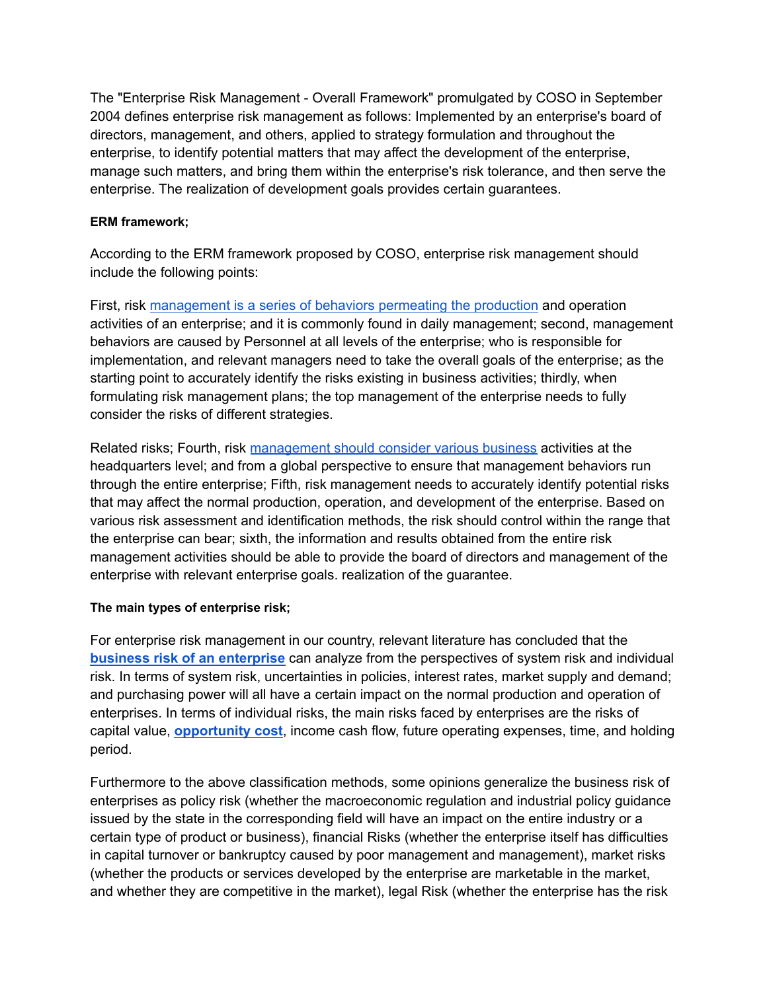The "Enterprise Risk Management - Overall Framework" promulgated by COSO in September 2004 defines enterprise risk management as follows: Implemented by an enterprise's board of directors, management, and others, applied to strategy formulation and throughout the enterprise, to identify potential matters that may affect the development of the enterprise, manage such matters, and bring them within the enterprise's risk tolerance, and then serve the enterprise. The realization of development goals provides certain guarantees.

# **ERM framework;**

According to the ERM framework proposed by COSO, enterprise risk management should include the following points:

First, risk [management](https://www.ilearnlot.com/what-is-definition-of-production-management/51864/) is a series of behaviors permeating the production and operation activities of an enterprise; and it is commonly found in daily management; second, management behaviors are caused by Personnel at all levels of the enterprise; who is responsible for implementation, and relevant managers need to take the overall goals of the enterprise; as the starting point to accurately identify the risks existing in business activities; thirdly, when formulating risk management plans; the top management of the enterprise needs to fully consider the risks of different strategies.

Related risks; Fourth, risk [management](https://www.ilearnlot.com/do-you-know-what-can-ethics-in-business-management/41283/) should consider various business activities at the headquarters level; and from a global perspective to ensure that management behaviors run through the entire enterprise; Fifth, risk management needs to accurately identify potential risks that may affect the normal production, operation, and development of the enterprise. Based on various risk assessment and identification methods, the risk should control within the range that the enterprise can bear; sixth, the information and results obtained from the entire risk management activities should be able to provide the board of directors and management of the enterprise with relevant enterprise goals. realization of the guarantee.

# **The main types of enterprise risk;**

For enterprise risk management in our country, relevant literature has concluded that the **business risk of an [enterprise](https://www.ilearnlot.com/why-financial-planning-is-essential-for-the-success-of-any-business-enterprise/57763/)** can analyze from the perspectives of system risk and individual risk. In terms of system risk, uncertainties in policies, interest rates, market supply and demand; and purchasing power will all have a certain impact on the normal production and operation of enterprises. In terms of individual risks, the main risks faced by enterprises are the risks of capital value, **[opportunity](https://www.ilearnlot.com/essay-of-opportunity-cost-in-managerial-economics/57667/) cost**, income cash flow, future operating expenses, time, and holding period.

Furthermore to the above classification methods, some opinions generalize the business risk of enterprises as policy risk (whether the macroeconomic regulation and industrial policy guidance issued by the state in the corresponding field will have an impact on the entire industry or a certain type of product or business), financial Risks (whether the enterprise itself has difficulties in capital turnover or bankruptcy caused by poor management and management), market risks (whether the products or services developed by the enterprise are marketable in the market, and whether they are competitive in the market), legal Risk (whether the enterprise has the risk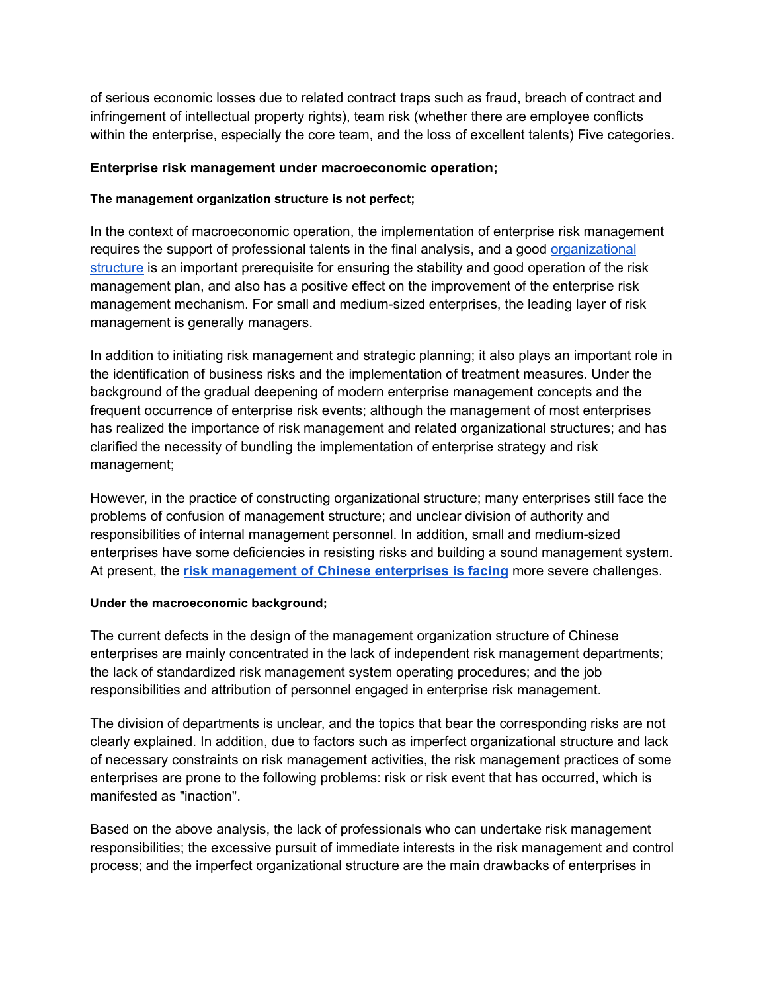of serious economic losses due to related contract traps such as fraud, breach of contract and infringement of intellectual property rights), team risk (whether there are employee conflicts within the enterprise, especially the core team, and the loss of excellent talents) Five categories.

# **Enterprise risk management under macroeconomic operation;**

# **The management organization structure is not perfect;**

In the context of macroeconomic operation, the implementation of enterprise risk management requires the support of professional talents in the final analysis, and a good [organizational](https://www.ilearnlot.com/organizational-structure-for-corporate-entrepreneurship/47688/) [structure](https://www.ilearnlot.com/organizational-structure-for-corporate-entrepreneurship/47688/) is an important prerequisite for ensuring the stability and good operation of the risk management plan, and also has a positive effect on the improvement of the enterprise risk management mechanism. For small and medium-sized enterprises, the leading layer of risk management is generally managers.

In addition to initiating risk management and strategic planning; it also plays an important role in the identification of business risks and the implementation of treatment measures. Under the background of the gradual deepening of modern enterprise management concepts and the frequent occurrence of enterprise risk events; although the management of most enterprises has realized the importance of risk management and related organizational structures; and has clarified the necessity of bundling the implementation of enterprise strategy and risk management;

However, in the practice of constructing organizational structure; many enterprises still face the problems of confusion of management structure; and unclear division of authority and responsibilities of internal management personnel. In addition, small and medium-sized enterprises have some deficiencies in resisting risks and building a sound management system. At present, the **risk [management](https://www.ilearnlot.com/different-types-of-risk-faced-by-banks-today/34321/) of Chinese enterprises is facing** more severe challenges.

# **Under the macroeconomic background;**

The current defects in the design of the management organization structure of Chinese enterprises are mainly concentrated in the lack of independent risk management departments; the lack of standardized risk management system operating procedures; and the job responsibilities and attribution of personnel engaged in enterprise risk management.

The division of departments is unclear, and the topics that bear the corresponding risks are not clearly explained. In addition, due to factors such as imperfect organizational structure and lack of necessary constraints on risk management activities, the risk management practices of some enterprises are prone to the following problems: risk or risk event that has occurred, which is manifested as "inaction".

Based on the above analysis, the lack of professionals who can undertake risk management responsibilities; the excessive pursuit of immediate interests in the risk management and control process; and the imperfect organizational structure are the main drawbacks of enterprises in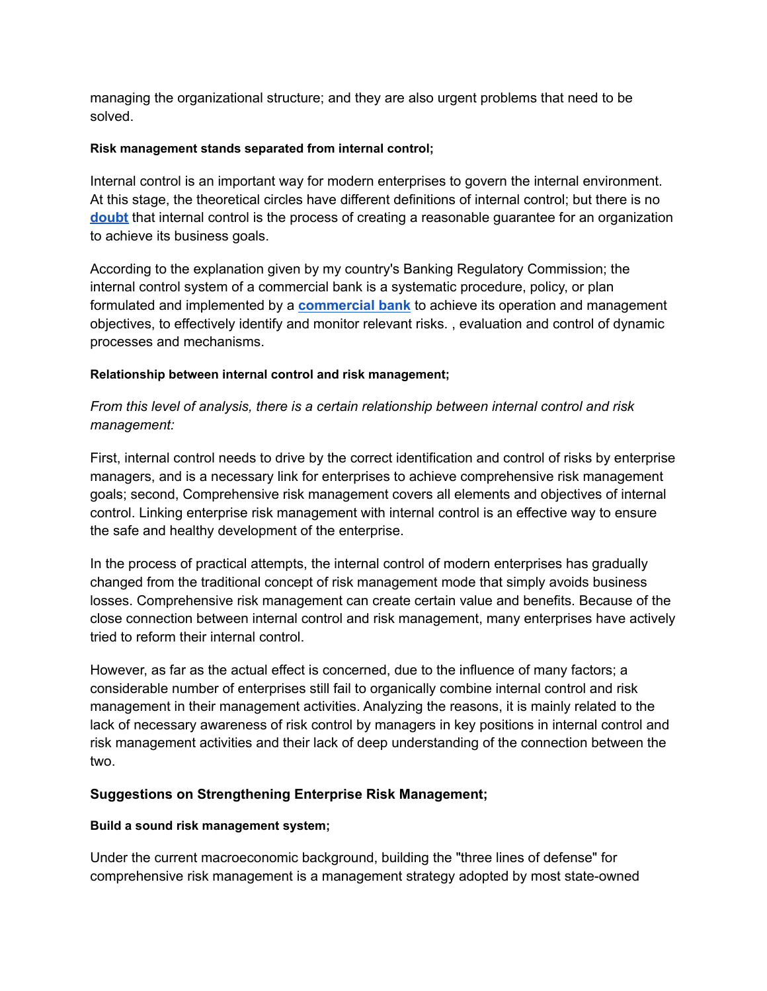managing the organizational structure; and they are also urgent problems that need to be solved.

# **Risk management stands separated from internal control;**

Internal control is an important way for modern enterprises to govern the internal environment. At this stage, the theoretical circles have different definitions of internal control; but there is no **[doubt](https://www.doubt.biz/)** that internal control is the process of creating a reasonable guarantee for an organization to achieve its business goals.

According to the explanation given by my country's Banking Regulatory Commission; the internal control system of a commercial bank is a systematic procedure, policy, or plan formulated and implemented by a **[commercial](https://www.ilearnlot.com/commercial-banks-meaning-functions-and-significances/55087/) bank** to achieve its operation and management objectives, to effectively identify and monitor relevant risks. , evaluation and control of dynamic processes and mechanisms.

#### **Relationship between internal control and risk management;**

# *From this level of analysis, there is a certain relationship between internal control and risk management:*

First, internal control needs to drive by the correct identification and control of risks by enterprise managers, and is a necessary link for enterprises to achieve comprehensive risk management goals; second, Comprehensive risk management covers all elements and objectives of internal control. Linking enterprise risk management with internal control is an effective way to ensure the safe and healthy development of the enterprise.

In the process of practical attempts, the internal control of modern enterprises has gradually changed from the traditional concept of risk management mode that simply avoids business losses. Comprehensive risk management can create certain value and benefits. Because of the close connection between internal control and risk management, many enterprises have actively tried to reform their internal control.

However, as far as the actual effect is concerned, due to the influence of many factors; a considerable number of enterprises still fail to organically combine internal control and risk management in their management activities. Analyzing the reasons, it is mainly related to the lack of necessary awareness of risk control by managers in key positions in internal control and risk management activities and their lack of deep understanding of the connection between the two.

# **Suggestions on Strengthening Enterprise Risk Management;**

# **Build a sound risk management system;**

Under the current macroeconomic background, building the "three lines of defense" for comprehensive risk management is a management strategy adopted by most state-owned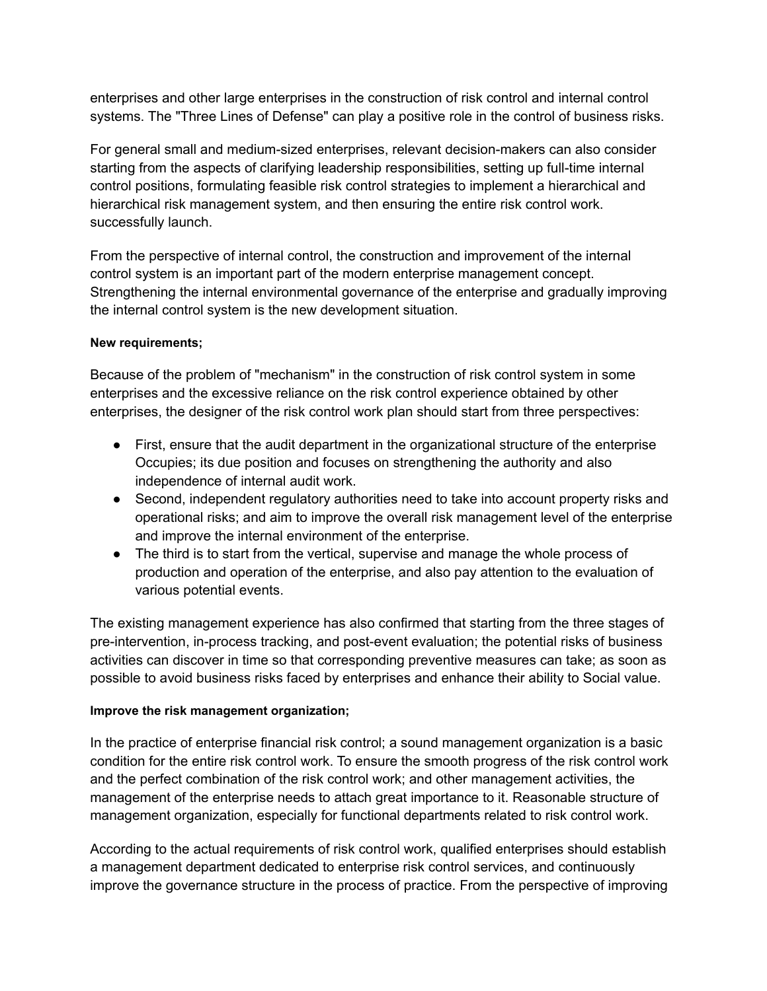enterprises and other large enterprises in the construction of risk control and internal control systems. The "Three Lines of Defense" can play a positive role in the control of business risks.

For general small and medium-sized enterprises, relevant decision-makers can also consider starting from the aspects of clarifying leadership responsibilities, setting up full-time internal control positions, formulating feasible risk control strategies to implement a hierarchical and hierarchical risk management system, and then ensuring the entire risk control work. successfully launch.

From the perspective of internal control, the construction and improvement of the internal control system is an important part of the modern enterprise management concept. Strengthening the internal environmental governance of the enterprise and gradually improving the internal control system is the new development situation.

#### **New requirements;**

Because of the problem of "mechanism" in the construction of risk control system in some enterprises and the excessive reliance on the risk control experience obtained by other enterprises, the designer of the risk control work plan should start from three perspectives:

- First, ensure that the audit department in the organizational structure of the enterprise Occupies; its due position and focuses on strengthening the authority and also independence of internal audit work.
- Second, independent regulatory authorities need to take into account property risks and operational risks; and aim to improve the overall risk management level of the enterprise and improve the internal environment of the enterprise.
- The third is to start from the vertical, supervise and manage the whole process of production and operation of the enterprise, and also pay attention to the evaluation of various potential events.

The existing management experience has also confirmed that starting from the three stages of pre-intervention, in-process tracking, and post-event evaluation; the potential risks of business activities can discover in time so that corresponding preventive measures can take; as soon as possible to avoid business risks faced by enterprises and enhance their ability to Social value.

# **Improve the risk management organization;**

In the practice of enterprise financial risk control; a sound management organization is a basic condition for the entire risk control work. To ensure the smooth progress of the risk control work and the perfect combination of the risk control work; and other management activities, the management of the enterprise needs to attach great importance to it. Reasonable structure of management organization, especially for functional departments related to risk control work.

According to the actual requirements of risk control work, qualified enterprises should establish a management department dedicated to enterprise risk control services, and continuously improve the governance structure in the process of practice. From the perspective of improving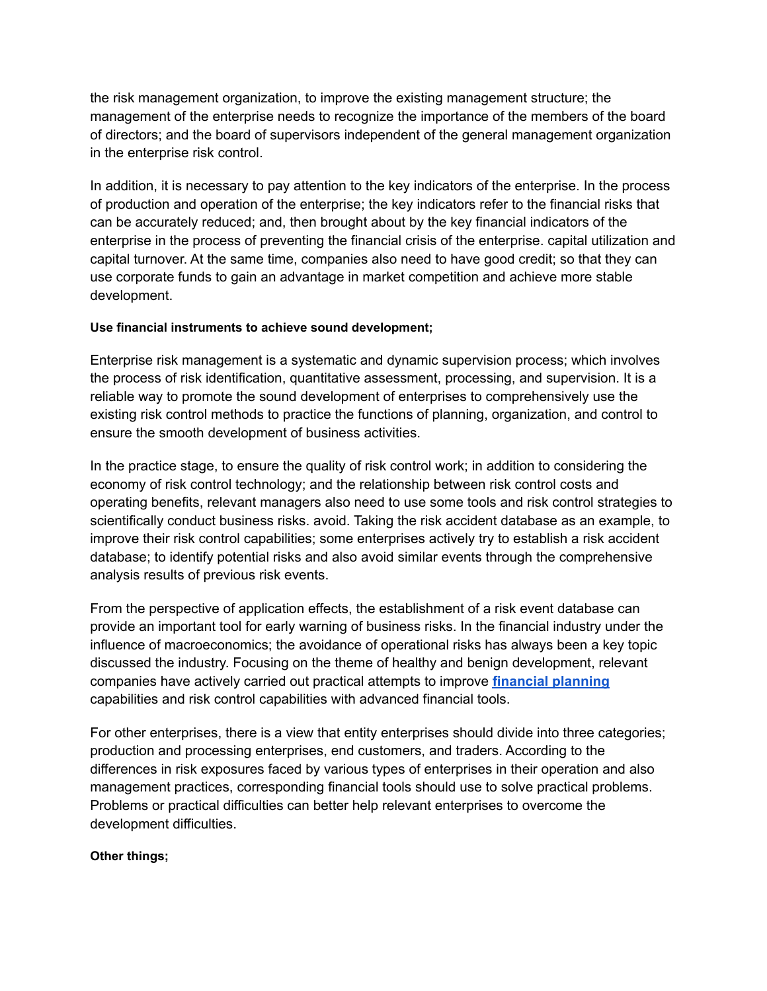the risk management organization, to improve the existing management structure; the management of the enterprise needs to recognize the importance of the members of the board of directors; and the board of supervisors independent of the general management organization in the enterprise risk control.

In addition, it is necessary to pay attention to the key indicators of the enterprise. In the process of production and operation of the enterprise; the key indicators refer to the financial risks that can be accurately reduced; and, then brought about by the key financial indicators of the enterprise in the process of preventing the financial crisis of the enterprise. capital utilization and capital turnover. At the same time, companies also need to have good credit; so that they can use corporate funds to gain an advantage in market competition and achieve more stable development.

# **Use financial instruments to achieve sound development;**

Enterprise risk management is a systematic and dynamic supervision process; which involves the process of risk identification, quantitative assessment, processing, and supervision. It is a reliable way to promote the sound development of enterprises to comprehensively use the existing risk control methods to practice the functions of planning, organization, and control to ensure the smooth development of business activities.

In the practice stage, to ensure the quality of risk control work; in addition to considering the economy of risk control technology; and the relationship between risk control costs and operating benefits, relevant managers also need to use some tools and risk control strategies to scientifically conduct business risks. avoid. Taking the risk accident database as an example, to improve their risk control capabilities; some enterprises actively try to establish a risk accident database; to identify potential risks and also avoid similar events through the comprehensive analysis results of previous risk events.

From the perspective of application effects, the establishment of a risk event database can provide an important tool for early warning of business risks. In the financial industry under the influence of macroeconomics; the avoidance of operational risks has always been a key topic discussed the industry. Focusing on the theme of healthy and benign development, relevant companies have actively carried out practical attempts to improve **financial [planning](https://www.ilearnlot.com/financial-planning-meaning-definition-objectives-and-importance/57757/)** capabilities and risk control capabilities with advanced financial tools.

For other enterprises, there is a view that entity enterprises should divide into three categories; production and processing enterprises, end customers, and traders. According to the differences in risk exposures faced by various types of enterprises in their operation and also management practices, corresponding financial tools should use to solve practical problems. Problems or practical difficulties can better help relevant enterprises to overcome the development difficulties.

# **Other things;**